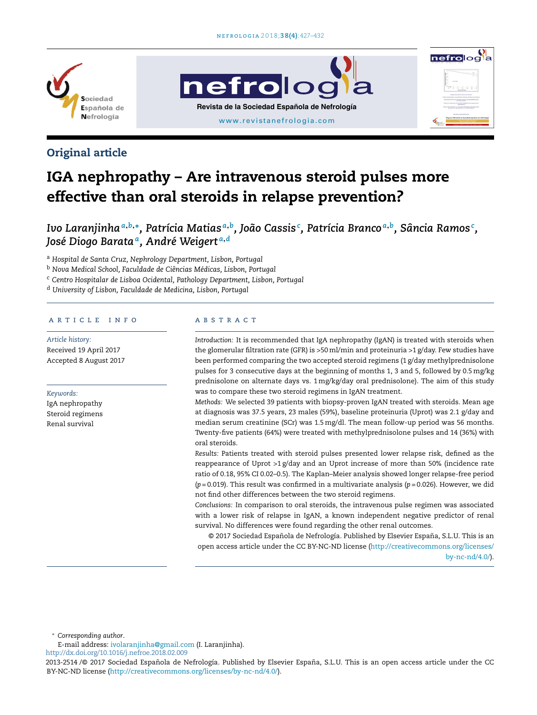

# Original article

# IGA nephropathy – Are intravenous steroid pulses more effective than oral steroids in relapse prevention?

Ivo Laranjinha $^{a,b,*}$ , Patrícia Matias $^{a,b}$ , João Cassis $^{\mathfrak c}$ , Patrícia Branco $^{a,b}$ , Sância Ramos $^{\mathfrak c}$ , *José Diogo Barata<sup>a</sup> , André Weigert <sup>a</sup>*,*<sup>d</sup>*

<sup>a</sup> *Hospital de Santa Cruz, Nephrology Department, Lisbon, Portugal*

<sup>b</sup> *Nova Medical School, Faculdade de Ciências Médicas, Lisbon, Portugal*

<sup>c</sup> *Centro Hospitalar de Lisboa Ocidental, Pathology Department, Lisbon, Portugal*

<sup>d</sup> *University of Lisbon, Faculdade de Medicina, Lisbon, Portugal*

# a r t i c l e i n f o

*Article history:* Received 19 April 2017 Accepted 8 August 2017

#### *Keywords:*

IgA nephropathy Steroid regimens Renal survival

#### a b s t r a c t

*Introduction:* It is recommended that IgA nephropathy (IgAN) is treated with steroids when the glomerular filtration rate (GFR) is >50ml/min and proteinuria >1 g/day. Few studies have been performed comparing the two accepted steroid regimens (1 g/day methylprednisolone pulses for 3 consecutive days at the beginning of months 1, 3 and 5, followed by 0.5mg/kg prednisolone on alternate days vs. 1mg/kg/day oral prednisolone). The aim of this study was to compare these two steroid regimens in IgAN treatment.

*Methods:* We selected 39 patients with biopsy-proven IgAN treated with steroids. Mean age at diagnosis was 37.5 years, 23 males (59%), baseline proteinuria (Uprot) was 2.1 g/day and median serum creatinine (SCr) was 1.5mg/dl. The mean follow-up period was 56 months. Twenty-five patients (64%) were treated with methylprednisolone pulses and 14 (36%) with oral steroids.

*Results:* Patients treated with steroid pulses presented lower relapse risk, defined as the reappearance of Uprot  $>1$  g/day and an Uprot increase of more than 50% (incidence rate ratio of 0.18, 95% CI 0.02–0.5). The Kaplan–Meier analysis showed longer relapse-free period (*p* = 0.019). This result was confirmed in a multivariate analysis (*p* = 0.026). However, we did not find other differences between the two steroid regimens.

*Conclusions:* In comparison to oral steroids, the intravenous pulse regimen was associated with a lower risk of relapse in IgAN, a known independent negative predictor of renal survival. No differences were found regarding the other renal outcomes.

© 2017 Sociedad Española de Nefrología. Published by Elsevier España, S.L.U. This is an open access article under the CC BY-NC-ND license (http://creativecommons.org/licenses/ by-nc-nd/4.0/).

<sup>∗</sup> *Corresponding author*.

E-mail address: ivolaranjinha@gmail.com (I. Laranjinha).

http://dx.doi.org/10.1016/j.nefroe.2018.02.009



<sup>2013-2514 /© 2017</sup> Sociedad Española de Nefrología. Published by Elsevier España, S.L.U. This is an open access article under the CC BY-NC-ND license (http://creativecommons.org/licenses/by-nc-nd/4.0/).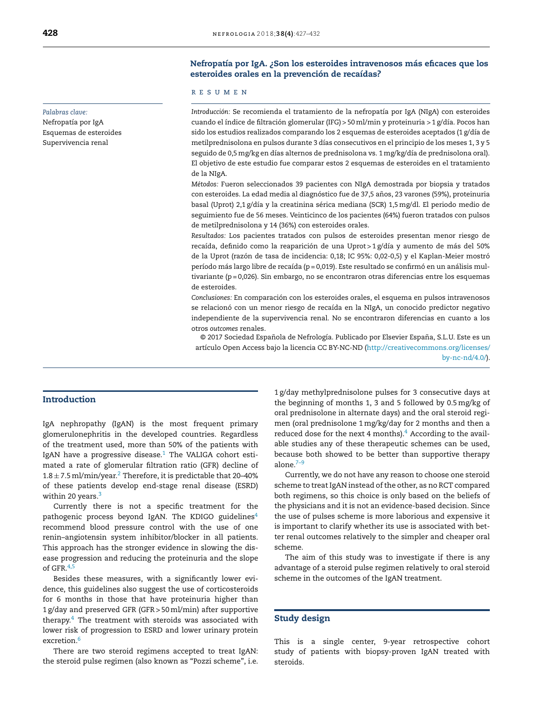#### *Palabras clave:*

Nefropatía por IgA Esquemas de esteroides Supervivencia renal

# Nefropatía por IgA. ¿Son los esteroides intravenosos más eficaces que los esteroides orales en la prevención de recaídas?

#### r e s u m e n

*Introducción:* Se recomienda el tratamiento de la nefropatía por IgA (NIgA) con esteroides cuando el índice de filtración glomerular (IFG) > 50ml/min y proteinuria > 1 g/día. Pocos han sido los estudios realizados comparando los 2 esquemas de esteroides aceptados (1 g/día de metilprednisolona en pulsos durante 3 días consecutivos en el principio de los meses 1, 3 y 5 seguido de 0,5mg/kg en días alternos de prednisolona vs. 1mg/kg/día de prednisolona oral). El objetivo de este estudio fue comparar estos 2 esquemas de esteroides en el tratamiento de la NIgA.

*Métodos:* Fueron seleccionados 39 pacientes con NIgA demostrada por biopsia y tratados con esteroides. La edad media al diagnóstico fue de 37,5 años, 23 varones (59%), proteinuria basal (Uprot) 2,1 g/día y la creatinina sérica mediana (SCR) 1,5mg/dl. El periodo medio de seguimiento fue de 56 meses. Veinticinco de los pacientes (64%) fueron tratados con pulsos de metilprednisolona y 14 (36%) con esteroides orales.

*Resultados:* Los pacientes tratados con pulsos de esteroides presentan menor riesgo de recaída, definido como la reaparición de una Uprot > 1 g/día y aumento de más del 50% de la Uprot (razón de tasa de incidencia: 0,18; IC 95%: 0,02-0,5) y el Kaplan-Meier mostró período más largo libre de recaída (p = 0,019). Este resultado se confirmó en un análisis multivariante (p = 0,026). Sin embargo, no se encontraron otras diferencias entre los esquemas de esteroides.

*Conclusiones:* En comparación con los esteroides orales, el esquema en pulsos intravenosos se relacionó con un menor riesgo de recaída en la NIgA, un conocido predictor negativo independiente de la supervivencia renal. No se encontraron diferencias en cuanto a los otros *outcomes* renales.

© 2017 Sociedad Española de Nefrología. Publicado por Elsevier España, S.L.U. Este es un artículo Open Access bajo la licencia CC BY-NC-ND (http://creativecommons.org/licenses/

by-nc-nd/4.0/).

# Introduction

IgA nephropathy (IgAN) is the most frequent primary glomerulonephritis in the developed countries. Regardless of the treatment used, more than 50% of the patients with IgAN have a progressive disease. $1$  The VALIGA cohort estimated a rate of glomerular filtration ratio (GFR) decline of  $1.8 \pm 7.5$  ml/min/year. $^2$  Therefore, it is predictable that 20–40% of these patients develop end-stage renal disease (ESRD) within 20 years.<sup>3</sup>

Currently there is not a specific treatment for the pathogenic process beyond IgAN. The KDIGO guidelines $4$ recommend blood pressure control with the use of one renin–angiotensin system inhibitor/blocker in all patients. This approach has the stronger evidence in slowing the disease progression and reducing the proteinuria and the slope of GFR.<sup>4,5</sup>

Besides these measures, with a significantly lower evidence, this guidelines also suggest the use of corticosteroids for 6 months in those that have proteinuria higher than 1 g/day and preserved GFR (GFR > 50ml/min) after supportive therapy.<sup>4</sup> The treatment with steroids was associated with lower risk of progression to ESRD and lower urinary protein excretion.<sup>6</sup>

There are two steroid regimens accepted to treat IgAN: the steroid pulse regimen (also known as "Pozzi scheme", i.e. 1 g/day methylprednisolone pulses for 3 consecutive days at the beginning of months 1, 3 and 5 followed by 0.5 mg/kg of oral prednisolone in alternate days) and the oral steroid regimen (oral prednisolone 1mg/kg/day for 2 months and then a reduced dose for the next 4 months). $4$  According to the available studies any of these therapeutic schemes can be used, because both showed to be better than supportive therapy alone. $7-9$ 

Currently, we do not have any reason to choose one steroid scheme to treat IgAN instead of the other, as no RCT compared both regimens, so this choice is only based on the beliefs of the physicians and it is not an evidence-based decision. Since the use of pulses scheme is more laborious and expensive it is important to clarify whether its use is associated with better renal outcomes relatively to the simpler and cheaper oral scheme.

The aim of this study was to investigate if there is any advantage of a steroid pulse regimen relatively to oral steroid scheme in the outcomes of the IgAN treatment.

#### Study design

This is a single center, 9-year retrospective cohort study of patients with biopsy-proven IgAN treated with steroids.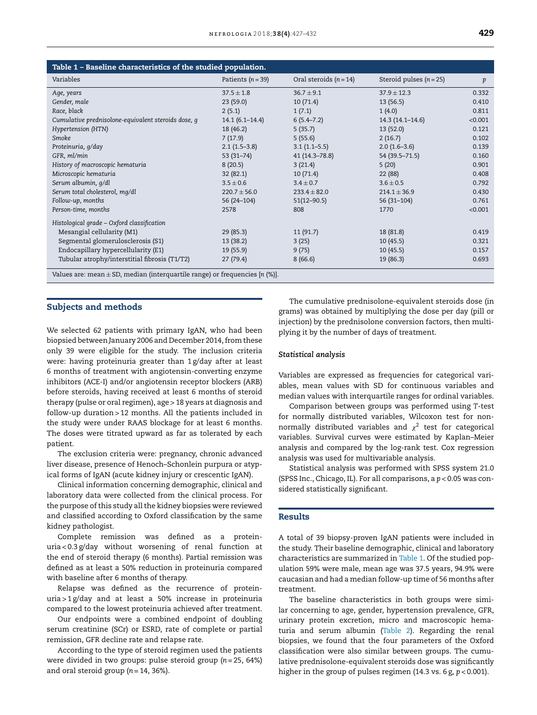| Table 1 - Baseline characteristics of the studied population.                   |                       |                          |                           |         |  |  |  |  |  |
|---------------------------------------------------------------------------------|-----------------------|--------------------------|---------------------------|---------|--|--|--|--|--|
| Variables                                                                       | Patients ( $n = 39$ ) | Oral steroids $(n = 14)$ | Steroid pulses $(n = 25)$ | p       |  |  |  |  |  |
| Age, years                                                                      | $37.5 \pm 1.8$        | $36.7 \pm 9.1$           | $37.9 + 12.3$             | 0.332   |  |  |  |  |  |
| Gender, male                                                                    | 23(59.0)              | 10(71.4)                 | 13(56.5)                  | 0.410   |  |  |  |  |  |
| Race, black                                                                     | 2(5.1)                | 1(7.1)                   | 1(4.0)                    | 0.811   |  |  |  |  |  |
| Cumulative prednisolone-equivalent steroids dose, q                             | $14.1(6.1 - 14.4)$    | $6(5.4 - 7.2)$           | $14.3(14.1 - 14.6)$       | < 0.001 |  |  |  |  |  |
| Hypertension (HTN)                                                              | 18 (46.2)             | 5(35.7)                  | 13(52.0)                  | 0.121   |  |  |  |  |  |
| Smoke                                                                           | 7(17.9)               | 5(55.6)                  | 2(16.7)                   | 0.102   |  |  |  |  |  |
| Proteinuria, g/day                                                              | $2.1(1.5-3.8)$        | $3.1(1.1-5.5)$           | $2.0(1.6-3.6)$            | 0.139   |  |  |  |  |  |
| GFR, ml/min                                                                     | $53(31 - 74)$         | 41 (14.3–78.8)           | 54 (39.5–71.5)            | 0.160   |  |  |  |  |  |
| History of macroscopic hematuria                                                | 8(20.5)               | 3(21.4)                  | 5(20)                     | 0.901   |  |  |  |  |  |
| Microscopic hematuria                                                           | 32(82.1)              | 10(71.4)                 | 22 (88)                   | 0.408   |  |  |  |  |  |
| Serum albumin, g/dl                                                             | $3.5 \pm 0.6$         | $3.4 \pm 0.7$            | $3.6 \pm 0.5$             | 0.792   |  |  |  |  |  |
| Serum total cholesterol, mg/dl                                                  | $220.7 \pm 56.0$      | $233.4 \pm 82.0$         | $214.1 \pm 36.9$          | 0.430   |  |  |  |  |  |
| Follow-up, months                                                               | 56 (24-104)           | $51(12 - 90.5)$          | $56(31-104)$              | 0.761   |  |  |  |  |  |
| Person-time, months                                                             | 2578                  | 808                      | 1770                      | < 0.001 |  |  |  |  |  |
| Histological grade - Oxford classification                                      |                       |                          |                           |         |  |  |  |  |  |
| Mesangial cellularity (M1)                                                      | 29(85.3)              | 11(91.7)                 | 18 (81.8)                 | 0.419   |  |  |  |  |  |
| Segmental glomerulosclerosis (S1)                                               | 13 (38.2)             | 3(25)                    | 10(45.5)                  | 0.321   |  |  |  |  |  |
| Endocapillary hypercellularity (E1)                                             | 19 (55.9)             | 9(75)                    | 10(45.5)                  | 0.157   |  |  |  |  |  |
| Tubular atrophy/interstitial fibrosis (T1/T2)                                   | 27(79.4)              | 8(66.6)                  | 19 (86.3)                 | 0.693   |  |  |  |  |  |
| Values are: mean $\pm$ SD, median (interquartile range) or frequencies [n (%)]. |                       |                          |                           |         |  |  |  |  |  |

#### Subjects and methods

We selected 62 patients with primary IgAN, who had been biopsied between January 2006 and December 2014, from these only 39 were eligible for the study. The inclusion criteria were: having proteinuria greater than 1 g/day after at least 6 months of treatment with angiotensin-converting enzyme inhibitors (ACE-I) and/or angiotensin receptor blockers (ARB) before steroids, having received at least 6 months of steroid therapy (pulse or oral regimen), age > 18 years at diagnosis and follow-up duration > 12 months. All the patients included in the study were under RAAS blockage for at least 6 months. The doses were titrated upward as far as tolerated by each patient.

The exclusion criteria were: pregnancy, chronic advanced liver disease, presence of Henoch–Schonlein purpura or atypical forms of IgAN (acute kidney injury or crescentic IgAN).

Clinical information concerning demographic, clinical and laboratory data were collected from the clinical process. For the purpose of this study all the kidney biopsies were reviewed and classified according to Oxford classification by the same kidney pathologist.

Complete remission was defined as a proteinuria < 0.3 g/day without worsening of renal function at the end of steroid therapy (6 months). Partial remission was defined as at least a 50% reduction in proteinuria compared with baseline after 6 months of therapy.

Relapse was defined as the recurrence of proteinuria > 1 g/day and at least a 50% increase in proteinuria compared to the lowest proteinuria achieved after treatment.

Our endpoints were a combined endpoint of doubling serum creatinine (SCr) or ESRD, rate of complete or partial remission, GFR decline rate and relapse rate.

According to the type of steroid regimen used the patients were divided in two groups: pulse steroid group (*n* = 25, 64%) and oral steroid group (*n* = 14, 36%).

The cumulative prednisolone-equivalent steroids dose (in grams) was obtained by multiplying the dose per day (pill or injection) by the prednisolone conversion factors, then multiplying it by the number of days of treatment.

#### *Statistical analysis*

Variables are expressed as frequencies for categorical variables, mean values with SD for continuous variables and median values with interquartile ranges for ordinal variables.

Comparison between groups was performed using *T*-test for normally distributed variables, Wilcoxon test for nonnormally distributed variables and  $\chi^2$  test for categorical variables. Survival curves were estimated by Kaplan–Meier analysis and compared by the log-rank test. Cox regression analysis was used for multivariable analysis.

Statistical analysis was performed with SPSS system 21.0 (SPSS Inc., Chicago, IL). For all comparisons, a *p* < 0.05 was considered statistically significant.

#### Results

A total of 39 biopsy-proven IgAN patients were included in the study. Their baseline demographic, clinical and laboratory characteristics are summarized in Table 1. Of the studied population 59% were male, mean age was 37.5 years, 94.9% were caucasian and had a median follow-up time of 56 months after treatment.

The baseline characteristics in both groups were similar concerning to age, gender, hypertension prevalence, GFR, urinary protein excretion, micro and macroscopic hematuria and serum albumin (Table 2). Regarding the renal biopsies, we found that the four parameters of the Oxford classification were also similar between groups. The cumulative prednisolone-equivalent steroids dose was significantly higher in the group of pulses regimen (14.3 vs. 6 g, *p* < 0.001).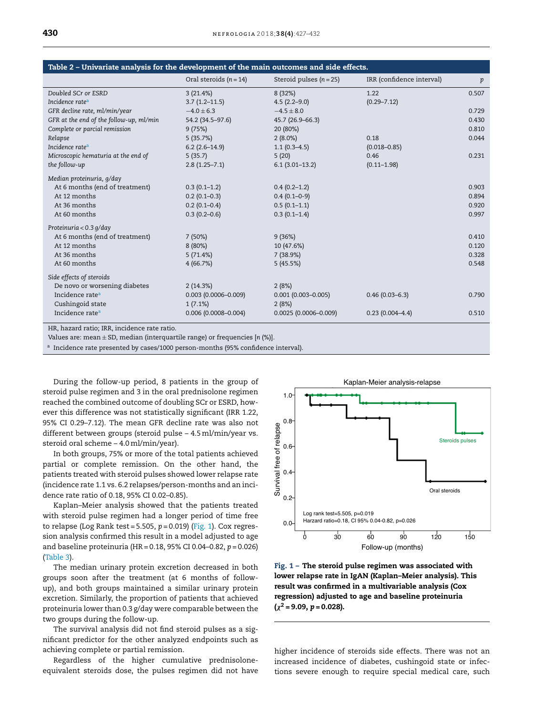| Table 2 - Univariate analysis for the development of the main outcomes and side effects. |                          |                           |                           |       |  |  |  |  |
|------------------------------------------------------------------------------------------|--------------------------|---------------------------|---------------------------|-------|--|--|--|--|
|                                                                                          | Oral steroids $(n = 14)$ | Steroid pulses $(n = 25)$ | IRR (confidence interval) | p     |  |  |  |  |
| Doubled SCr or ESRD                                                                      | 3(21.4%)                 | 8(32%)                    | 1.22                      | 0.507 |  |  |  |  |
| Incidence rate <sup>a</sup>                                                              | $3.7(1.2 - 11.5)$        | $4.5(2.2 - 9.0)$          | $(0.29 - 7.12)$           |       |  |  |  |  |
| GFR decline rate, ml/min/year                                                            | $-4.0 \pm 6.3$           | $-4.5 \pm 8.0$            |                           | 0.729 |  |  |  |  |
| GFR at the end of the follow-up, ml/min                                                  | 54.2 (34.5-97.6)         | 45.7 (26.9-66.3)          |                           | 0.430 |  |  |  |  |
| Complete or parcial remission                                                            | 9(75%)                   | 20 (80%)                  |                           | 0.810 |  |  |  |  |
| Relapse                                                                                  | 5(35.7%)                 | $2(8.0\%)$                | 0.18                      | 0.044 |  |  |  |  |
| Incidence rate <sup>a</sup>                                                              | $6.2(2.6-14.9)$          | $1.1(0.3-4.5)$            | $(0.018 - 0.85)$          |       |  |  |  |  |
| Microscopic hematuria at the end of                                                      | 5(35.7)                  | 5(20)                     | 0.46                      | 0.231 |  |  |  |  |
| the follow-up                                                                            | $2.8(1.25 - 7.1)$        | $6.1(3.01-13.2)$          | $(0.11 - 1.98)$           |       |  |  |  |  |
| Median proteinuria, g/day                                                                |                          |                           |                           |       |  |  |  |  |
| At 6 months (end of treatment)                                                           | $0.3(0.1-1.2)$           | $0.4(0.2-1.2)$            |                           | 0.903 |  |  |  |  |
| At 12 months                                                                             | $0.2(0.1-0.3)$           | $0.4(0.1-0-9)$            |                           | 0.894 |  |  |  |  |
| At 36 months                                                                             | $0.2(0.1 - 0.4)$         | $0.5(0.1-1.1)$            |                           | 0.920 |  |  |  |  |
| At 60 months                                                                             | $0.3(0.2 - 0.6)$         | $0.3(0.1-1.4)$            |                           | 0.997 |  |  |  |  |
| Proteinuria < 0.3 g/day                                                                  |                          |                           |                           |       |  |  |  |  |
| At 6 months (end of treatment)                                                           | 7(50%)                   | 9(36%)                    |                           | 0.410 |  |  |  |  |
| At 12 months                                                                             | 8(80%)                   | 10 (47.6%)                |                           | 0.120 |  |  |  |  |
| At 36 months                                                                             | 5(71.4%)                 | 7(38.9%)                  |                           | 0.328 |  |  |  |  |
| At 60 months                                                                             | 4(66.7%)                 | 5(45.5%)                  |                           | 0.548 |  |  |  |  |
| Side effects of steroids                                                                 |                          |                           |                           |       |  |  |  |  |
| De novo or worsening diabetes                                                            | 2(14.3%)                 | 2(8%)                     |                           |       |  |  |  |  |
| Incidence rate <sup>a</sup>                                                              | $0.003$ (0.0006-0.009)   | $0.001(0.003 - 0.005)$    | $0.46(0.03 - 6.3)$        | 0.790 |  |  |  |  |
| Cushingoid state                                                                         | 1(7.1%)                  | 2(8%)                     |                           |       |  |  |  |  |
| Incidence rate <sup>a</sup>                                                              | $0.006(0.0008 - 0.004)$  | $0.0025(0.0006 - 0.009)$  | $0.23(0.004 - 4.4)$       | 0.510 |  |  |  |  |
|                                                                                          |                          |                           |                           |       |  |  |  |  |

HR, hazard ratio; IRR, incidence rate ratio.

Values are: mean  $\pm$  SD, median (interquartile range) or frequencies [n (%)].

<sup>a</sup> Incidence rate presented by cases/1000 person-months (95% confidence interval).

During the follow-up period, 8 patients in the group of steroid pulse regimen and 3 in the oral prednisolone regimen reached the combined outcome of doubling SCr or ESRD, however this difference was not statistically significant (IRR 1.22, 95% CI 0.29-7.12). The mean GFR decline rate was also not different between groups (steroid pulse - 4.5 ml/min/year vs. steroid oral scheme - 4.0 ml/min/year).

In both groups, 75% or more of the total patients achieved partial or complete remission. On the other hand, the patients treated with steroid pulses showed lower relapse rate (incidence rate 1.1 vs. 6.2 relapses/person-months and an incidence rate ratio of 0.18, 95% CI 0.02-0.85).

Kaplan-Meier analysis showed that the patients treated with steroid pulse regimen had a longer period of time free to relapse (Log Rank test = 5.505,  $p = 0.019$ ) (Fig. 1). Cox regression analysis confirmed this result in a model adjusted to age and baseline proteinuria (HR = 0.18, 95% CI 0.04-0.82,  $p = 0.026$ ) (Table 3).

The median urinary protein excretion decreased in both groups soon after the treatment (at 6 months of followup), and both groups maintained a similar urinary protein excretion. Similarly, the proportion of patients that achieved proteinuria lower than 0.3 g/day were comparable between the two groups during the follow-up.

The survival analysis did not find steroid pulses as a significant predictor for the other analyzed endpoints such as achieving complete or partial remission.

Regardless of the higher cumulative prednisoloneequivalent steroids dose, the pulses regimen did not have



Fig. 1 - The steroid pulse regimen was associated with lower relapse rate in IgAN (Kaplan-Meier analysis). This result was confirmed in a multivariable analysis (Cox regression) adjusted to age and baseline proteinuria  $(x^2 = 9.09, p = 0.028)$ .

higher incidence of steroids side effects. There was not an increased incidence of diabetes, cushingoid state or infections severe enough to require special medical care, such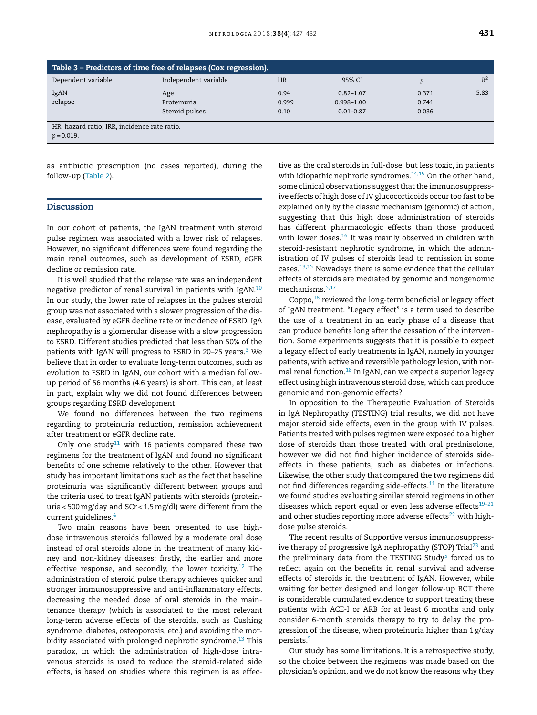| Table 3 – Predictors of time free of relapses (Cox regression). |                      |           |                |       |       |  |  |  |
|-----------------------------------------------------------------|----------------------|-----------|----------------|-------|-------|--|--|--|
| Dependent variable                                              | Independent variable | <b>HR</b> | 95% CI         | D     | $R^2$ |  |  |  |
| IgAN                                                            | Age                  | 0.94      | $0.82 - 1.07$  | 0.371 | 5.83  |  |  |  |
| relapse                                                         | Proteinuria          | 0.999     | $0.998 - 1.00$ | 0.741 |       |  |  |  |
|                                                                 | Steroid pulses       | 0.10      | $0.01 - 0.87$  | 0.036 |       |  |  |  |
| HR, hazard ratio; IRR, incidence rate ratio.                    |                      |           |                |       |       |  |  |  |
| $p = 0.019$ .                                                   |                      |           |                |       |       |  |  |  |

as antibiotic prescription (no cases reported), during the follow-up (Table 2).

#### **Discussion**

In our cohort of patients, the IgAN treatment with steroid pulse regimen was associated with a lower risk of relapses. However, no significant differences were found regarding the main renal outcomes, such as development of ESRD, eGFR decline or remission rate.

It is well studied that the relapse rate was an independent negative predictor of renal survival in patients with IgAN.<sup>10</sup> In our study, the lower rate of relapses in the pulses steroid group was not associated with a slower progression of the disease, evaluated by eGFR decline rate or incidence of ESRD. IgA nephropathy is a glomerular disease with a slow progression to ESRD. Different studies predicted that less than 50% of the patients with IgAN will progress to ESRD in 20–25 years.<sup>3</sup> We believe that in order to evaluate long-term outcomes, such as evolution to ESRD in IgAN, our cohort with a median followup period of 56 months (4.6 years) is short. This can, at least in part, explain why we did not found differences between groups regarding ESRD development.

We found no differences between the two regimens regarding to proteinuria reduction, remission achievement after treatment or eGFR decline rate.

Only one study<sup>11</sup> with 16 patients compared these two regimens for the treatment of IgAN and found no significant benefits of one scheme relatively to the other. However that study has important limitations such as the fact that baseline proteinuria was significantly different between groups and the criteria used to treat IgAN patients with steroids (proteinuria < 500mg/day and SCr < 1.5mg/dl) were different from the current guidelines.<sup>4</sup>

Two main reasons have been presented to use highdose intravenous steroids followed by a moderate oral dose instead of oral steroids alone in the treatment of many kidney and non-kidney diseases: firstly, the earlier and more effective response, and secondly, the lower toxicity.<sup>12</sup> The administration of steroid pulse therapy achieves quicker and stronger immunosuppressive and anti-inflammatory effects, decreasing the needed dose of oral steroids in the maintenance therapy (which is associated to the most relevant long-term adverse effects of the steroids, such as Cushing syndrome, diabetes, osteoporosis, etc.) and avoiding the morbidity associated with prolonged nephrotic syndrome.<sup>13</sup> This paradox, in which the administration of high-dose intravenous steroids is used to reduce the steroid-related side effects, is based on studies where this regimen is as effec-

tive as the oral steroids in full-dose, but less toxic, in patients with idiopathic nephrotic syndromes. $14,15$  On the other hand, some clinical observations suggest that the immunosuppressive effects of high dose of IV glucocorticoids occur too fast to be explained only by the classic mechanism (genomic) of action, suggesting that this high dose administration of steroids has different pharmacologic effects than those produced with lower doses.<sup>16</sup> It was mainly observed in children with steroid-resistant nephrotic syndrome, in which the administration of IV pulses of steroids lead to remission in some cases.13,15 Nowadays there is some evidence that the cellular effects of steroids are mediated by genomic and nongenomic mechanisms.5,17

Coppo,<sup>18</sup> reviewed the long-term beneficial or legacy effect of IgAN treatment. "Legacy effect" is a term used to describe the use of a treatment in an early phase of a disease that can produce benefits long after the cessation of the intervention. Some experiments suggests that it is possible to expect a legacy effect of early treatments in IgAN, namely in younger patients, with active and reversible pathology lesion, with normal renal function.<sup>18</sup> In IgAN, can we expect a superior legacy effect using high intravenous steroid dose, which can produce genomic and non-genomic effects?

In opposition to the Therapeutic Evaluation of Steroids in IgA Nephropathy (TESTING) trial results, we did not have major steroid side effects, even in the group with IV pulses. Patients treated with pulses regimen were exposed to a higher dose of steroids than those treated with oral prednisolone, however we did not find higher incidence of steroids sideeffects in these patients, such as diabetes or infections. Likewise, the other study that compared the two regimens did not find differences regarding side-effects. $11$  In the literature we found studies evaluating similar steroid regimens in other diseases which report equal or even less adverse effects<sup>19-21</sup> and other studies reporting more adverse effects $22$  with highdose pulse steroids.

The recent results of Supportive versus immunosuppressive therapy of progressive IgA nephropathy (STOP) Trial<sup>23</sup> and the preliminary data from the TESTING Study<sup>5</sup> forced us to reflect again on the benefits in renal survival and adverse effects of steroids in the treatment of IgAN. However, while waiting for better designed and longer follow-up RCT there is considerable cumulated evidence to support treating these patients with ACE-I or ARB for at least 6 months and only consider 6-month steroids therapy to try to delay the progression of the disease, when proteinuria higher than 1 g/day persists.<sup>5</sup>

Our study has some limitations. It is a retrospective study, so the choice between the regimens was made based on the physician's opinion, and we do not know the reasons why they